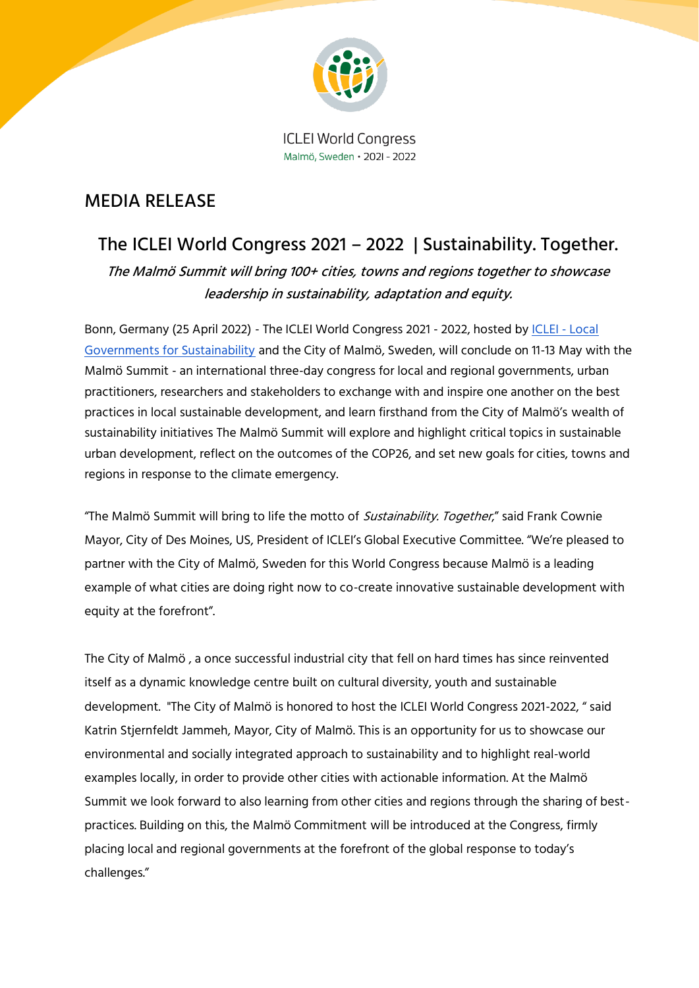

**ICLEI World Congress** Malmö, Sweden • 2021 - 2022

### MEDIA RELEASE

## The ICLEI World Congress 2021 – 2022 | Sustainability. Together.

The Malmö Summit will bring 100+ cities, towns and regions together to showcase leadership in sustainability, adaptation and equity.

Bonn, Germany (25 April 2022) - The ICLEI World Congress 2021 - 2022, hosted by [ICLEI -](https://www.iclei.org/) Local [Governments for Sustainability](https://www.iclei.org/) and the City of Malmö, Sweden, will conclude on 11-13 May with the Malmö Summit - an international three-day congress for local and regional governments, urban practitioners, researchers and stakeholders to exchange with and inspire one another on the best practices in local sustainable development, and learn firsthand from the City of Malmö's wealth of sustainability initiatives The Malmö Summit will explore and highlight critical topics in sustainable urban development, reflect on the outcomes of the COP26, and set new goals for cities, towns and regions in response to the climate emergency.

"The Malmö Summit will bring to life the motto of *Sustainability. Together*," said Frank Cownie Mayor, City of Des Moines, US, President of ICLEI's Global Executive Committee. "We're pleased to partner with the City of Malmö, Sweden for this World Congress because Malmö is a leading example of what cities are doing right now to co-create innovative sustainable development with equity at the forefront".

The City of Malmö , a once successful industrial city that fell on hard times has since reinvented itself as a dynamic knowledge centre built on cultural diversity, youth and sustainable development. "The City of Malmö is honored to host the ICLEI World Congress 2021-2022, " said Katrin Stjernfeldt Jammeh, Mayor, City of Malmö. This is an opportunity for us to showcase our environmental and socially integrated approach to sustainability and to highlight real-world examples locally, in order to provide other cities with actionable information. At the Malmö Summit we look forward to also learning from other cities and regions through the sharing of bestpractices. Building on this, the Malmö Commitment will be introduced at the Congress, firmly placing local and regional governments at the forefront of the global response to today's challenges."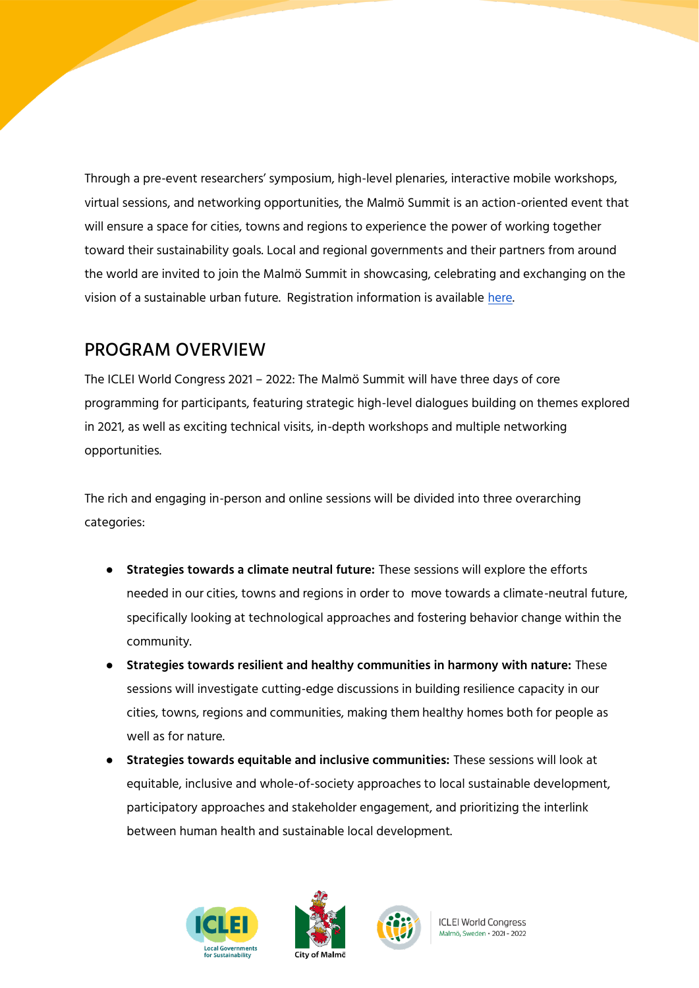Through a pre-event researchers' symposium, high-level plenaries, interactive mobile workshops, virtual sessions, and networking opportunities, the Malmö Summit is an action-oriented event that will ensure a space for cities, towns and regions to experience the power of working together toward their sustainability goals. Local and regional governments and their partners from around the world are invited to join the Malmö Summit in showcasing, celebrating and exchanging on the vision of a sustainable urban future. Registration information is available [here.](https://worldcongress.iclei.org/iclei-world-congress-21-22/the-malmo-summit/)

### PROGRAM OVERVIEW

The ICLEI World Congress 2021 – 2022: The Malmö Summit will have three days of core programming for participants, featuring strategic high-level dialogues building on themes explored in 2021, as well as exciting technical visits, in-depth workshops and multiple networking opportunities.

The rich and engaging in-person and online sessions will be divided into three overarching categories:

- **Strategies towards a climate neutral future:** These sessions will explore the efforts needed in our cities, towns and regions in order to move towards a climate-neutral future, specifically looking at technological approaches and fostering behavior change within the community.
- **Strategies towards resilient and healthy communities in harmony with nature:** These sessions will investigate cutting-edge discussions in building resilience capacity in our cities, towns, regions and communities, making them healthy homes both for people as well as for nature.
- **Strategies towards equitable and inclusive communities:** These sessions will look at equitable, inclusive and whole-of-society approaches to local sustainable development, participatory approaches and stakeholder engagement, and prioritizing the interlink between human health and sustainable local development.





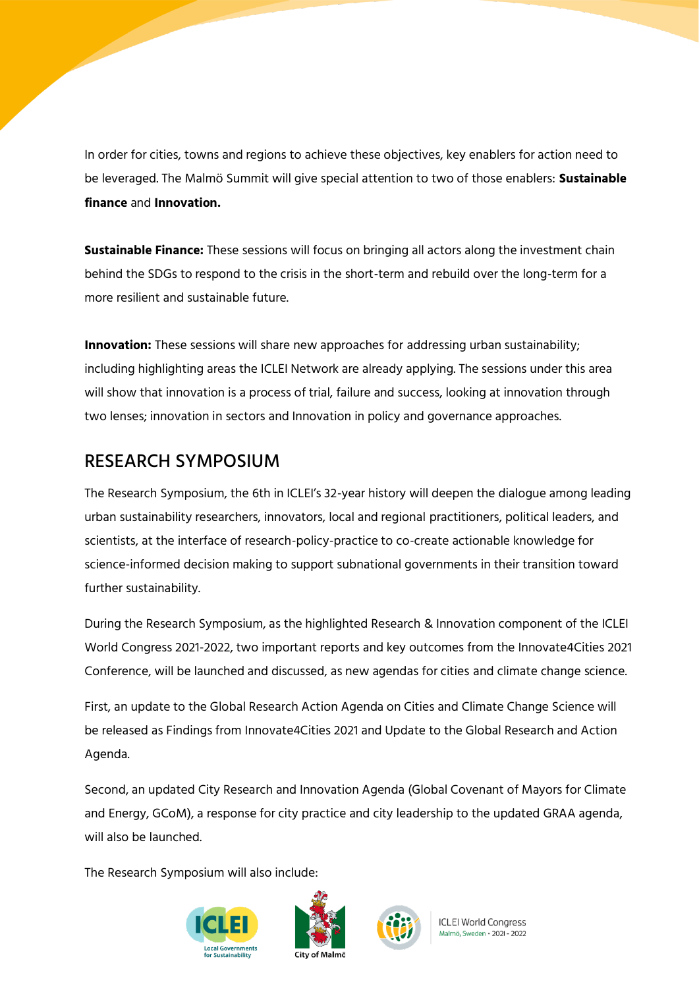In order for cities, towns and regions to achieve these objectives, key enablers for action need to be leveraged. The Malmö Summit will give special attention to two of those enablers: **Sustainable finance** and **Innovation.**

**Sustainable Finance:** These sessions will focus on bringing all actors along the investment chain behind the SDGs to respond to the crisis in the short-term and rebuild over the long-term for a more resilient and sustainable future.

**Innovation:** These sessions will share new approaches for addressing urban sustainability; including highlighting areas the ICLEI Network are already applying. The sessions under this area will show that innovation is a process of trial, failure and success, looking at innovation through two lenses; innovation in sectors and Innovation in policy and governance approaches.

### RESEARCH SYMPOSIUM

The Research Symposium, the 6th in ICLEI's 32-year history will deepen the dialogue among leading urban sustainability researchers, innovators, local and regional practitioners, political leaders, and scientists, at the interface of research-policy-practice to co-create actionable knowledge for science-informed decision making to support subnational governments in their transition toward further sustainability.

During the Research Symposium, as the highlighted Research & Innovation component of the ICLEI World Congress 2021-2022, two important reports and key outcomes from the Innovate4Cities 2021 Conference, will be launched and discussed, as new agendas for cities and climate change science.

First, an update to the Global Research Action Agenda on Cities and Climate Change Science will be released as Findings from Innovate4Cities 2021 and Update to the Global Research and Action Agenda.

Second, an updated City Research and Innovation Agenda (Global Covenant of Mayors for Climate and Energy, GCoM), a response for city practice and city leadership to the updated GRAA agenda, will also be launched.

The Research Symposium will also include:







**ICLEI World Congress** Malmö, Sweden · 2021 - 2022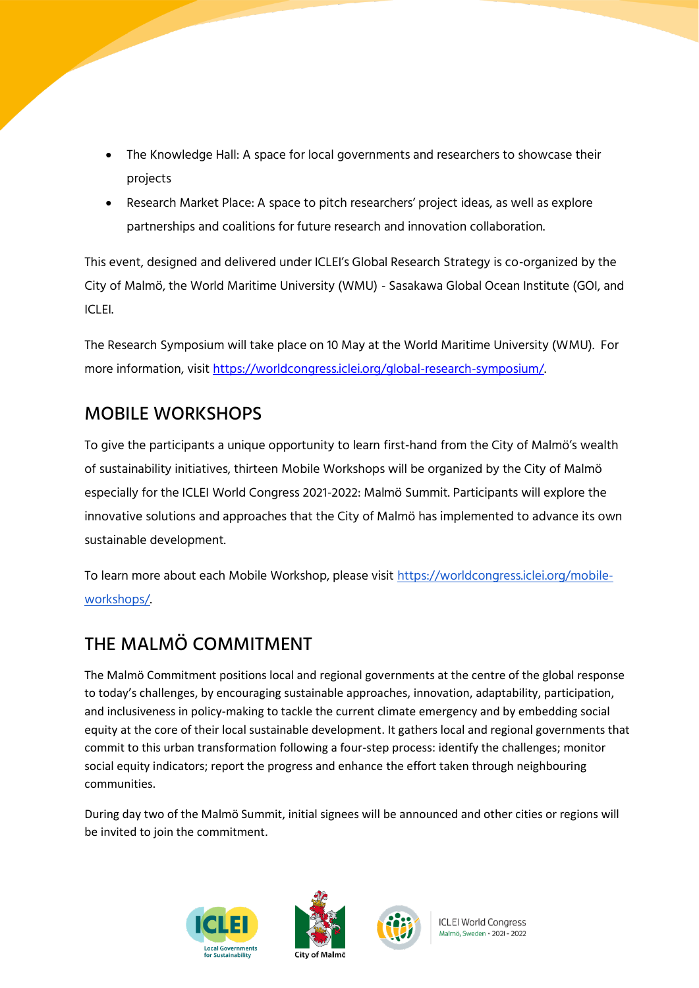- The Knowledge Hall: A space for local governments and researchers to showcase their projects
- Research Market Place: A space to pitch researchers' project ideas, as well as explore partnerships and coalitions for future research and innovation collaboration.

This event, designed and delivered under ICLEI's Global Research Strategy is co-organized by the City of Malmö, the World Maritime University (WMU) - Sasakawa Global Ocean Institute (GOI, and ICLEI.

The Research Symposium will take place on 10 May at the World Maritime University (WMU). For more information, visit [https://worldcongress.iclei.org/global-research-symposium/.](https://worldcongress.iclei.org/global-research-symposium/)

### MOBILE WORKSHOPS

To give the participants a unique opportunity to learn first-hand from the City of Malmö's wealth of sustainability initiatives, thirteen Mobile Workshops will be organized by the City of Malmö especially for the ICLEI World Congress 2021-2022: Malmö Summit. Participants will explore the innovative solutions and approaches that the City of Malmö has implemented to advance its own sustainable development.

To learn more about each Mobile Workshop, please visit [https://worldcongress.iclei.org/mobile](https://worldcongress.iclei.org/mobile-workshops/)[workshops/.](https://worldcongress.iclei.org/mobile-workshops/)

# THE MALMÖ COMMITMENT

The Malmö Commitment positions local and regional governments at the centre of the global response to today's challenges, by encouraging sustainable approaches, innovation, adaptability, participation, and inclusiveness in policy-making to tackle the current climate emergency and by embedding social equity at the core of their local sustainable development. It gathers local and regional governments that commit to this urban transformation following a four-step process: identify the challenges; monitor social equity indicators; report the progress and enhance the effort taken through neighbouring communities.

During day two of the Malmö Summit, initial signees will be announced and other cities or regions will be invited to join the commitment.







**ICLEI World Congress** Malmö, Sweden · 2021 - 2022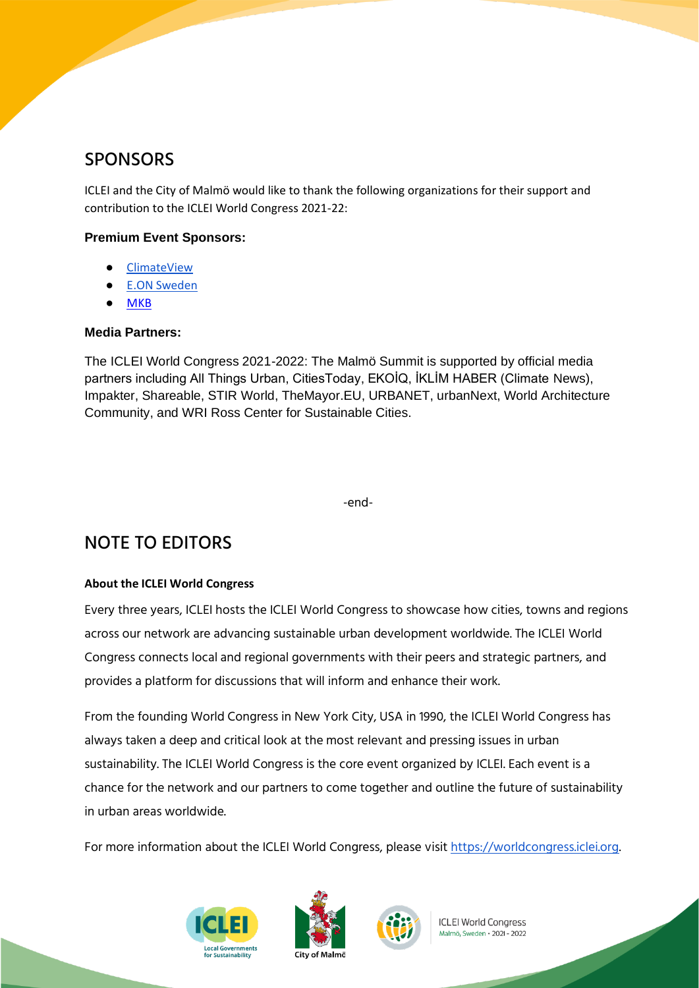### **SPONSORS**

ICLEI and the City of Malmö would like to thank the following organizations for their support and contribution to the ICLEI World Congress 2021-22:

#### **Premium Event Sponsors:**

- **[ClimateView](https://worldcongress.iclei.org/premium-sponsor-profile-climateview/)**
- **[E.ON Sweden](https://worldcongress.iclei.org/premium-sponsor-profile-e-on/)**
- **[MKB](https://worldcongress.iclei.org/premium-sponsor-profile-mkb/)**

#### **Media Partners:**

The ICLEI World Congress 2021-2022: The Malmö Summit is supported by official media partners including All Things Urban, CitiesToday, EKOİQ, İKLİM HABER (Climate News), Impakter, Shareable, STIR World, TheMayor.EU, URBANET, urbanNext, World Architecture Community, and WRI Ross Center for Sustainable Cities.

-end-

# NOTE TO EDITORS

#### **About the ICLEI World Congress**

Every three years, ICLEI hosts the ICLEI World Congress to showcase how cities, towns and regions across our network are advancing sustainable urban development worldwide. The ICLEI World Congress connects local and regional governments with their peers and strategic partners, and provides a platform for discussions that will inform and enhance their work.

From the founding World Congress in New York City, USA in 1990, the ICLEI World Congress has always taken a deep and critical look at the most relevant and pressing issues in urban sustainability. The ICLEI World Congress is the core event organized by ICLEI. Each event is a chance for the network and our partners to come together and outline the future of sustainability in urban areas worldwide.

For more information about the ICLEI World Congress, please visit [https://worldcongress.iclei.org.](https://worldcongress.iclei.org/)







**ICLEI World Congress** Malmö, Sweden • 2021 - 2022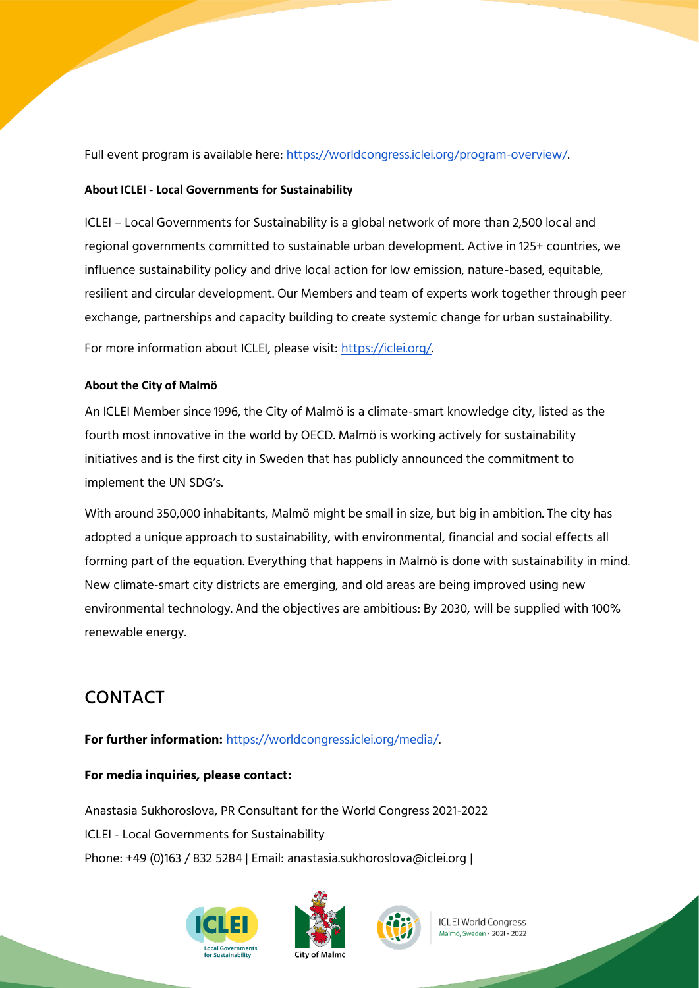Full event program is available here: [https://worldcongress.iclei.org/program-overview/.](https://worldcongress.iclei.org/program-overview/)

#### **About ICLEI - Local Governments for Sustainability**

ICLEI – Local Governments for Sustainability is a global network of more than 2,500 local and regional governments committed to sustainable urban development. Active in 125+ countries, we influence sustainability policy and drive local action for low emission, nature-based, equitable, resilient and circular development. Our Members and team of experts work together through peer exchange, partnerships and capacity building to create systemic change for urban sustainability.

For more information about ICLEI, please visit: [https://iclei.org/.](https://iclei.org/)

#### **About the City of Malmö**

An ICLEI Member since 1996, the City of Malmö is a climate-smart knowledge city, listed as the fourth most innovative in the world by OECD. Malmö is working actively for sustainability initiatives and is the first city in Sweden that has publicly announced the commitment to implement the UN SDG's.

With around 350,000 inhabitants, Malmö might be small in size, but big in ambition. The city has adopted a unique approach to sustainability, with environmental, financial and social effects all forming part of the equation. Everything that happens in Malmö is done with sustainability in mind. New climate-smart city districts are emerging, and old areas are being improved using new environmental technology. And the objectives are ambitious: By 2030, will be supplied with 100% renewable energy.

## CONTACT

**For further information:** [https://worldcongress.iclei.org/media/.](https://worldcongress.iclei.org/media/)

#### **For media inquiries, please contact:**

Anastasia Sukhoroslova, PR Consultant for the World Congress 2021-2022 ICLEI - Local Governments for Sustainability Phone: +49 (0)163 / 832 5284 | Email: anastasia.sukhoroslova@iclei.org |







**ICLEI World Congress** Malmö, Sweden • 2021 - 2022